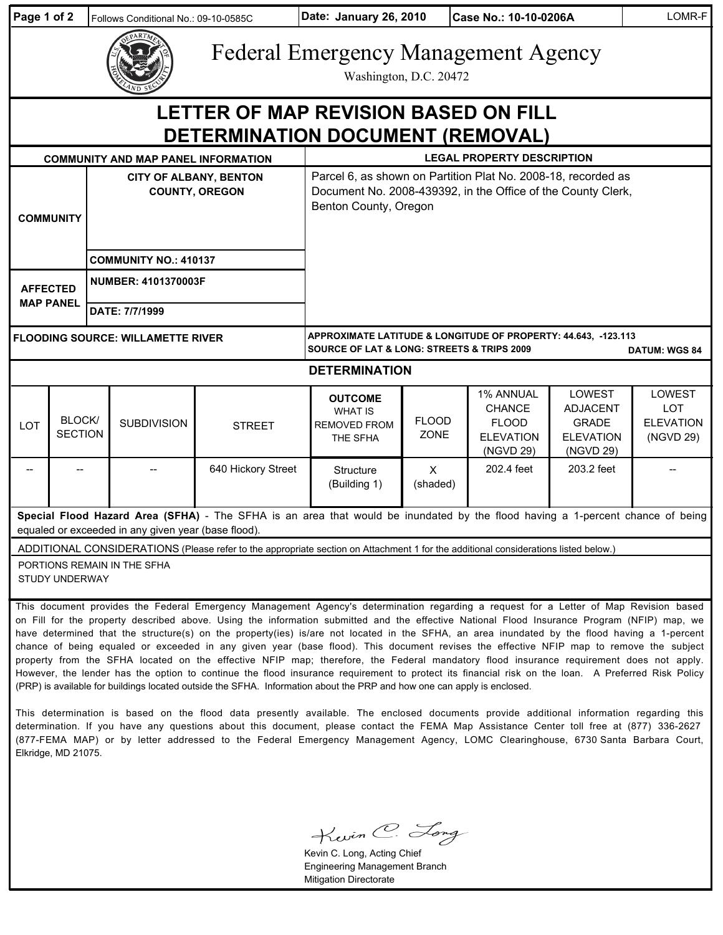| Page 1 of 2                                                                                                                                                                                                                                                                                                                                                                                                                                                                                                                                                                                                                                                                                                              |                          |                                                        | Follows Conditional No.: 09-10-0585C       |                    | Date: January 26, 2010                                                                                                                                 |                      | Case No.: 10-10-0206A                                                       |                                                                                   | LOMR-F                                                       |
|--------------------------------------------------------------------------------------------------------------------------------------------------------------------------------------------------------------------------------------------------------------------------------------------------------------------------------------------------------------------------------------------------------------------------------------------------------------------------------------------------------------------------------------------------------------------------------------------------------------------------------------------------------------------------------------------------------------------------|--------------------------|--------------------------------------------------------|--------------------------------------------|--------------------|--------------------------------------------------------------------------------------------------------------------------------------------------------|----------------------|-----------------------------------------------------------------------------|-----------------------------------------------------------------------------------|--------------------------------------------------------------|
|                                                                                                                                                                                                                                                                                                                                                                                                                                                                                                                                                                                                                                                                                                                          |                          |                                                        |                                            |                    | <b>Federal Emergency Management Agency</b><br>Washington, D.C. 20472                                                                                   |                      |                                                                             |                                                                                   |                                                              |
| LETTER OF MAP REVISION BASED ON FILL<br>DETERMINATION DOCUMENT (REMOVAL)                                                                                                                                                                                                                                                                                                                                                                                                                                                                                                                                                                                                                                                 |                          |                                                        |                                            |                    |                                                                                                                                                        |                      |                                                                             |                                                                                   |                                                              |
|                                                                                                                                                                                                                                                                                                                                                                                                                                                                                                                                                                                                                                                                                                                          |                          |                                                        | <b>COMMUNITY AND MAP PANEL INFORMATION</b> |                    | <b>LEGAL PROPERTY DESCRIPTION</b>                                                                                                                      |                      |                                                                             |                                                                                   |                                                              |
| <b>COMMUNITY</b>                                                                                                                                                                                                                                                                                                                                                                                                                                                                                                                                                                                                                                                                                                         |                          | <b>CITY OF ALBANY, BENTON</b><br><b>COUNTY, OREGON</b> |                                            |                    | Parcel 6, as shown on Partition Plat No. 2008-18, recorded as<br>Document No. 2008-439392, in the Office of the County Clerk,<br>Benton County, Oregon |                      |                                                                             |                                                                                   |                                                              |
|                                                                                                                                                                                                                                                                                                                                                                                                                                                                                                                                                                                                                                                                                                                          |                          |                                                        | <b>COMMUNITY NO.: 410137</b>               |                    |                                                                                                                                                        |                      |                                                                             |                                                                                   |                                                              |
| <b>AFFECTED</b><br><b>MAP PANEL</b>                                                                                                                                                                                                                                                                                                                                                                                                                                                                                                                                                                                                                                                                                      |                          | <b>NUMBER: 4101370003F</b>                             |                                            |                    |                                                                                                                                                        |                      |                                                                             |                                                                                   |                                                              |
|                                                                                                                                                                                                                                                                                                                                                                                                                                                                                                                                                                                                                                                                                                                          |                          | DATE: 7/7/1999                                         |                                            |                    |                                                                                                                                                        |                      |                                                                             |                                                                                   |                                                              |
| <b>FLOODING SOURCE: WILLAMETTE RIVER</b>                                                                                                                                                                                                                                                                                                                                                                                                                                                                                                                                                                                                                                                                                 |                          |                                                        |                                            |                    | APPROXIMATE LATITUDE & LONGITUDE OF PROPERTY: 44.643, -123.113<br><b>SOURCE OF LAT &amp; LONG: STREETS &amp; TRIPS 2009</b><br><b>DATUM: WGS 84</b>    |                      |                                                                             |                                                                                   |                                                              |
| <b>DETERMINATION</b>                                                                                                                                                                                                                                                                                                                                                                                                                                                                                                                                                                                                                                                                                                     |                          |                                                        |                                            |                    |                                                                                                                                                        |                      |                                                                             |                                                                                   |                                                              |
| LOT                                                                                                                                                                                                                                                                                                                                                                                                                                                                                                                                                                                                                                                                                                                      | BLOCK/<br><b>SECTION</b> |                                                        | <b>SUBDIVISION</b>                         | <b>STREET</b>      | <b>OUTCOME</b><br><b>WHAT IS</b><br><b>REMOVED FROM</b><br>THE SFHA                                                                                    | <b>FLOOD</b><br>ZONE | 1% ANNUAL<br><b>CHANCE</b><br><b>FLOOD</b><br><b>ELEVATION</b><br>(NGVD 29) | <b>LOWEST</b><br><b>ADJACENT</b><br><b>GRADE</b><br><b>ELEVATION</b><br>(NGVD 29) | <b>LOWEST</b><br><b>LOT</b><br><b>ELEVATION</b><br>(NGVD 29) |
|                                                                                                                                                                                                                                                                                                                                                                                                                                                                                                                                                                                                                                                                                                                          |                          |                                                        |                                            | 640 Hickory Street | Structure<br>(Building 1)                                                                                                                              | $\times$<br>(shaded) | 202.4 feet                                                                  | 203.2 feet                                                                        |                                                              |
| Special Flood Hazard Area (SFHA) - The SFHA is an area that would be inundated by the flood having a 1-percent chance of being<br>equaled or exceeded in any given year (base flood).                                                                                                                                                                                                                                                                                                                                                                                                                                                                                                                                    |                          |                                                        |                                            |                    |                                                                                                                                                        |                      |                                                                             |                                                                                   |                                                              |
| ADDITIONAL CONSIDERATIONS (Please refer to the appropriate section on Attachment 1 for the additional considerations listed below.)                                                                                                                                                                                                                                                                                                                                                                                                                                                                                                                                                                                      |                          |                                                        |                                            |                    |                                                                                                                                                        |                      |                                                                             |                                                                                   |                                                              |
| PORTIONS REMAIN IN THE SFHA<br><b>STUDY UNDERWAY</b>                                                                                                                                                                                                                                                                                                                                                                                                                                                                                                                                                                                                                                                                     |                          |                                                        |                                            |                    |                                                                                                                                                        |                      |                                                                             |                                                                                   |                                                              |
| This document provides the Federal Emergency Management Agency's determination regarding a request for a Letter of Map Revision based<br>on Fill for the property described above. Using the information submitted and the effective National Flood Insurance Program (NFIP) map, we<br>have determined that the structure(s) on the property(ies) is/are not located in the SFHA, an area inundated by the flood having a 1-percent<br>chance of being equaled or exceeded in any given year (base flood). This document revises the effective NFIP map to remove the subject<br>property from the SFHA located on the effective NFIP map; therefore, the Federal mandatory flood insurance requirement does not apply. |                          |                                                        |                                            |                    |                                                                                                                                                        |                      |                                                                             |                                                                                   |                                                              |

This determination is based on the flood data presently available. The enclosed documents provide additional information regarding this determination. If you have any questions about this document, please contact the FEMA Map Assistance Center toll free at (877) 336-2627 (877-FEMA MAP) or by letter addressed to the Federal Emergency Management Agency, LOMC Clearinghouse, 6730 Santa Barbara Court, Elkridge, MD 21075.

However, the lender has the option to continue the flood insurance requirement to protect its financial risk on the loan. A Preferred Risk Policy

(PRP) is available for buildings located outside the SFHA. Information about the PRP and how one can apply is enclosed.

Kevin C. Long

Kevin C. Long, Acting Chief Engineering Management Branch Mitigation Directorate